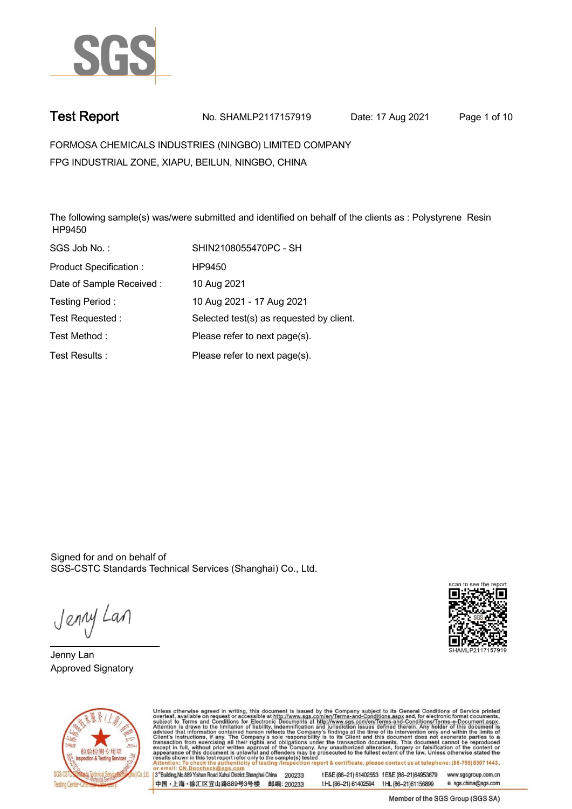

**Test Report. No. SHAMLP2117157919 Date: 17 Aug 2021. Page 1 of 10.**

**FORMOSA CHEMICALS INDUSTRIES (NINGBO) LIMITED COMPANY . FPG INDUSTRIAL ZONE, XIAPU, BEILUN, NINGBO, CHINA**

**The following sample(s) was/were submitted and identified on behalf of the clients as : Polystyrene Resin HP9450.**

| SGS Job No.:             | SHIN2108055470PC - SH                    |
|--------------------------|------------------------------------------|
| Product Specification:   | HP9450                                   |
| Date of Sample Received: | 10 Aug 2021                              |
| Testing Period:          | 10 Aug 2021 - 17 Aug 2021                |
| Test Requested:          | Selected test(s) as requested by client. |
| Test Method:             | Please refer to next page(s).            |
| Test Results:            | Please refer to next page(s).            |

Signed for and on behalf of SGS-CSTC Standards Technical Services (Shanghai) Co., Ltd..

Jenny Lan

**Jenny Lan. Approved Signatory .**





Unless otherwise agreed in writing, this document is issued by the Company subject to its General Conditions of Service printed overleaf, available on request or accessible at http://www.sgs.com/en/Terms-and-Conditions.asp

3<sup>rd</sup> Building, No.889 Yishan Road Xuhui District, Shanghai China 200233 中国·上海·徐汇区宜山路889号3号楼 邮编: 200233 tE&E (86-21) 61402553 fE&E (86-21)64953679 www.sgsgroup.com.cn tHL (86-21) 61402594 fHL (86-21) 61156899 e sgs.china@sgs.com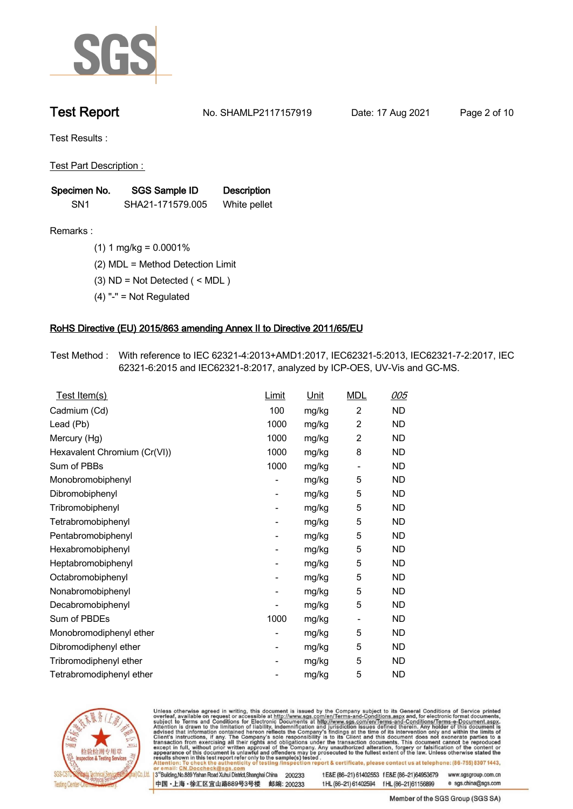

**Test Report. No. SHAMLP2117157919 Date: 17 Aug 2021. Page 2 of 10.**

**Test Results :.**

**Test Part Description : .**

| Specimen No.    | SGS Sample ID    | <b>Description</b> |
|-----------------|------------------|--------------------|
| SN <sub>1</sub> | SHA21-171579.005 | White pellet       |

- **Remarks :.(1) 1 mg/kg = 0.0001% .**
	- **(2) MDL = Method Detection Limit .**
	- **(3) ND = Not Detected ( < MDL ) .**
	- **(4) "-" = Not Regulated .**

### **RoHS Directive (EU) 2015/863 amending Annex II to Directive 2011/65/EU.**

**Test Method :. With reference to IEC 62321-4:2013+AMD1:2017, IEC62321-5:2013, IEC62321-7-2:2017, IEC 62321-6:2015 and IEC62321-8:2017, analyzed by ICP-OES, UV-Vis and GC-MS. .**

| Test Item(s)                 | Limit | <u>Unit</u> | <b>MDL</b>     | 005       |
|------------------------------|-------|-------------|----------------|-----------|
| Cadmium (Cd)                 | 100   | mg/kg       | $\overline{2}$ | <b>ND</b> |
| Lead (Pb)                    | 1000  | mg/kg       | $\overline{2}$ | <b>ND</b> |
| Mercury (Hg)                 | 1000  | mg/kg       | $\overline{c}$ | <b>ND</b> |
| Hexavalent Chromium (Cr(VI)) | 1000  | mg/kg       | 8              | <b>ND</b> |
| Sum of PBBs                  | 1000  | mg/kg       | $\overline{a}$ | <b>ND</b> |
| Monobromobiphenyl            |       | mg/kg       | 5              | ND.       |
| Dibromobiphenyl              | -     | mg/kg       | 5              | <b>ND</b> |
| Tribromobiphenyl             |       | mg/kg       | 5              | <b>ND</b> |
| Tetrabromobiphenyl           | -     | mg/kg       | 5              | ND        |
| Pentabromobiphenyl           |       | mg/kg       | 5              | <b>ND</b> |
| Hexabromobiphenyl            | -     | mg/kg       | 5              | ND.       |
| Heptabromobiphenyl           |       | mg/kg       | 5              | <b>ND</b> |
| Octabromobiphenyl            | -     | mg/kg       | 5              | <b>ND</b> |
| Nonabromobiphenyl            |       | mg/kg       | 5              | ND        |
| Decabromobiphenyl            |       | mg/kg       | 5              | <b>ND</b> |
| Sum of PBDEs                 | 1000  | mg/kg       | -              | ND.       |
| Monobromodiphenyl ether      |       | mg/kg       | 5              | <b>ND</b> |
| Dibromodiphenyl ether        | -     | mg/kg       | 5              | ND        |
| Tribromodiphenyl ether       | ۰     | mg/kg       | 5              | ND.       |
| Tetrabromodiphenyl ether     |       | mg/kg       | 5              | ND        |



Unless otherwise agreed in writing, this document is issued by the Company subject to its General Conditions of Service printed overleaf, available on request or accessible at http://www.sgs.com/en/Terms-and-Conditions.asp

3<sup>rd</sup> Building, No.889 Yishan Road Xuhui District, Shanghai China 200233 中国·上海·徐汇区宜山路889号3号楼 邮编: 200233 tE&E (86-21) 61402553 fE&E (86-21)64953679 www.sgsgroup.com.cn

t HL (86-21) 61402594 f HL (86-21) 61156899 e sgs.china@sgs.com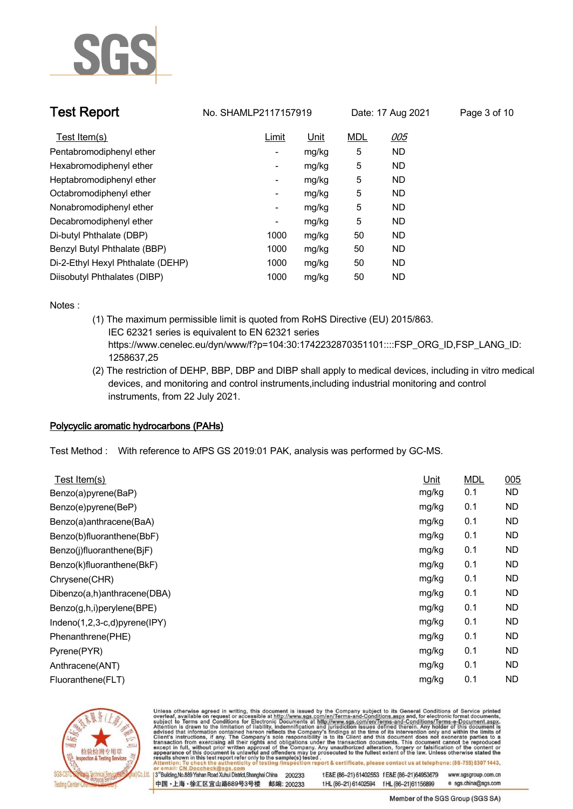

| <b>Test Report</b>                | No. SHAMLP2117157919 |             | Date: 17 Aug 2021 |            | Page 3 of 10 |
|-----------------------------------|----------------------|-------------|-------------------|------------|--------------|
| Test Item(s)                      | Limit                | <u>Unit</u> | <b>MDL</b>        | <u>005</u> |              |
| Pentabromodiphenyl ether          |                      | mg/kg       | 5                 | ND.        |              |
| Hexabromodiphenyl ether           | ۰.                   | mg/kg       | 5                 | ND.        |              |
| Heptabromodiphenyl ether          | ۰.                   | mg/kg       | 5                 | ND.        |              |
| Octabromodiphenyl ether           | ۰.                   | mg/kg       | 5                 | ND.        |              |
| Nonabromodiphenyl ether           | ۰.                   | mg/kg       | 5                 | ND.        |              |
| Decabromodiphenyl ether           |                      | mg/kg       | 5                 | ND.        |              |
| Di-butyl Phthalate (DBP)          | 1000                 | mg/kg       | 50                | ND.        |              |
| Benzyl Butyl Phthalate (BBP)      | 1000                 | mg/kg       | 50                | ND.        |              |
| Di-2-Ethyl Hexyl Phthalate (DEHP) | 1000                 | mg/kg       | 50                | ND.        |              |
| Diisobutyl Phthalates (DIBP)      | 1000                 | mg/kg       | 50                | ND         |              |

**Notes :.**

- **(1) The maximum permissible limit is quoted from RoHS Directive (EU) 2015/863. IEC 62321 series is equivalent to EN 62321 series https://www.cenelec.eu/dyn/www/f?p=104:30:1742232870351101::::FSP\_ORG\_ID,FSP\_LANG\_ID: 1258637,25**
- **(2) The restriction of DEHP, BBP, DBP and DIBP shall apply to medical devices, including in vitro medical devices, and monitoring and control instruments,including industrial monitoring and control instruments, from 22 July 2021. .**

### **Polycyclic aromatic hydrocarbons (PAHs).**

**Test Method :. With reference to AfPS GS 2019:01 PAK, analysis was performed by GC-MS. .**

| Unit  | <b>MDL</b> | 005       |
|-------|------------|-----------|
| mg/kg | 0.1        | <b>ND</b> |
| mg/kg | 0.1        | <b>ND</b> |
| mg/kg | 0.1        | <b>ND</b> |
| mg/kg | 0.1        | <b>ND</b> |
| mg/kg | 0.1        | <b>ND</b> |
| mg/kg | 0.1        | <b>ND</b> |
| mg/kg | 0.1        | <b>ND</b> |
| mg/kg | 0.1        | <b>ND</b> |
| mg/kg | 0.1        | ND.       |
| mg/kg | 0.1        | ND.       |
| mg/kg | 0.1        | <b>ND</b> |
| mg/kg | 0.1        | <b>ND</b> |
| mg/kg | 0.1        | <b>ND</b> |
| mg/kg | 0.1        | ND        |
|       |            |           |



Unless otherwise agreed in writing, this document is issued by the Company subject to its General Conditions of Service printed overleaf, available on request or accessible at http://www.sgs.com/en/Terms-and-Conditions.asp

3<sup>rd</sup> Building, No.889 Yishan Road Xuhui District, Shanghai China 200233 中国·上海·徐汇区宜山路889号3号楼 邮编: 200233 tE&E (86-21) 61402553 fE&E (86-21)64953679 www.sgsgroup.com.cn

t HL (86-21) 61402594 f HL (86-21) 61156899 e sgs.china@sgs.com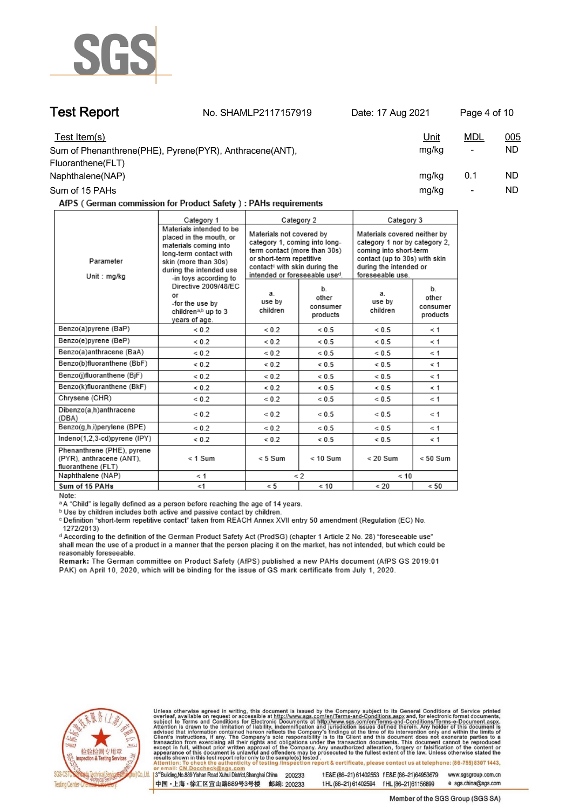

**Test Report. No. SHAMLP2117157919 Date: 17 Aug 2021. Page 4 of 10.**

| Test Item(s)                                            | <u>Unit</u> | <u>MDL</u>               | <u>005</u> |
|---------------------------------------------------------|-------------|--------------------------|------------|
| Sum of Phenanthrene(PHE), Pyrene(PYR), Anthracene(ANT), | mg/kg       | $\overline{\phantom{a}}$ | ND         |
| Fluoranthene(FLT)                                       |             |                          |            |
| Naphthalene(NAP)                                        | mg/kg       | 0.1                      | ND         |
| Sum of 15 PAHs                                          | mg/kg       | -                        | ND         |

AfPS (German commission for Product Safety): PAHs requirements

|                                                                              | Category 1                                                                                                                                                                                                                                                                              |                                                                                                                                                                                                     | Category 2                          | Category 3                                                                                                                                                             |                                     |
|------------------------------------------------------------------------------|-----------------------------------------------------------------------------------------------------------------------------------------------------------------------------------------------------------------------------------------------------------------------------------------|-----------------------------------------------------------------------------------------------------------------------------------------------------------------------------------------------------|-------------------------------------|------------------------------------------------------------------------------------------------------------------------------------------------------------------------|-------------------------------------|
| Parameter<br>Unit : mg/kg                                                    | Materials intended to be<br>placed in the mouth, or<br>materials coming into<br>long-term contact with<br>skin (more than 30s)<br>during the intended use<br>-in toys according to<br>Directive 2009/48/EC<br>or<br>-for the use by<br>children <sup>a,b</sup> up to 3<br>years of age. | Materials not covered by<br>category 1, coming into long-<br>term contact (more than 30s)<br>or short-term repetitive<br>contact <sup>c</sup> with skin during the<br>intended or foreseeable used. |                                     | Materials covered neither by<br>category 1 nor by category 2.<br>coming into short-term<br>contact (up to 30s) with skin<br>during the intended or<br>foreseeable use. |                                     |
|                                                                              |                                                                                                                                                                                                                                                                                         | a.<br>use by<br>children                                                                                                                                                                            | b.<br>other<br>consumer<br>products | a.<br>use by<br>children                                                                                                                                               | b.<br>other<br>consumer<br>products |
| Benzo(a)pyrene (BaP)                                                         | ${}_{0.2}$                                                                                                                                                                                                                                                                              | ${}< 0.2$                                                                                                                                                                                           | ${}< 0.5$                           | ${}< 0.5$                                                                                                                                                              | < 1                                 |
| Benzo(e)pyrene (BeP)                                                         | ${}_{0.2}$                                                                                                                                                                                                                                                                              | ${}< 0.2$                                                                                                                                                                                           | ${}< 0.5$                           | ${}< 0.5$                                                                                                                                                              | < 1                                 |
| Benzo(a)anthracene (BaA)                                                     | ${}_{0.2}$                                                                                                                                                                                                                                                                              | ${}_{0.2}$                                                                                                                                                                                          | ${}< 0.5$                           | ${}< 0.5$                                                                                                                                                              | $\leq 1$                            |
| Benzo(b)fluoranthene (BbF)                                                   | ${}_{0.2}$                                                                                                                                                                                                                                                                              | ${}< 0.2$                                                                                                                                                                                           | ${}< 0.5$                           | ${}< 0.5$                                                                                                                                                              | $\leq 1$                            |
| Benzo(j)fluoranthene (BjF)                                                   | ${}_{0.2}$                                                                                                                                                                                                                                                                              | ${}< 0.2$                                                                                                                                                                                           | ${}< 0.5$                           | ${}< 0.5$                                                                                                                                                              | < 1                                 |
| Benzo(k)fluoranthene (BkF)                                                   | ${}_{0.2}$                                                                                                                                                                                                                                                                              | ${}_{0.2}$                                                                                                                                                                                          | ${}_{0.5}$                          | ${}_{0.5}$                                                                                                                                                             | $\leq 1$                            |
| Chrysene (CHR)                                                               | ${}_{0.2}$                                                                                                                                                                                                                                                                              | ${}_{0.2}$                                                                                                                                                                                          | ${}< 0.5$                           | ${}< 0.5$                                                                                                                                                              | < 1                                 |
| Dibenzo(a,h)anthracene<br>(DBA)                                              | ${}_{0.2}$                                                                                                                                                                                                                                                                              | ${}< 0.2$                                                                                                                                                                                           | ${}< 0.5$                           | ${}< 0.5$                                                                                                                                                              | $\leq 1$                            |
| Benzo(g,h,i)perylene (BPE)                                                   | ${}_{0.2}$                                                                                                                                                                                                                                                                              | ${}< 0.2$                                                                                                                                                                                           | ${}< 0.5$                           | ${}< 0.5$                                                                                                                                                              | $\leq 1$                            |
| Indeno(1,2,3-cd)pyrene (IPY)                                                 | ${}_{0.2}$                                                                                                                                                                                                                                                                              | ${}_{0.2}$                                                                                                                                                                                          | ${}< 0.5$                           | ${}< 0.5$                                                                                                                                                              | $\leq 1$                            |
| Phenanthrene (PHE), pyrene<br>(PYR), anthracene (ANT),<br>fluoranthene (FLT) | $< 1$ Sum                                                                                                                                                                                                                                                                               | $< 5$ Sum                                                                                                                                                                                           | $< 10$ Sum                          | $< 20$ Sum                                                                                                                                                             | $< 50$ Sum                          |
| Naphthalene (NAP)                                                            | $\leq 1$                                                                                                                                                                                                                                                                                | $\leq 2$                                                                                                                                                                                            |                                     | < 10                                                                                                                                                                   |                                     |
| Sum of 15 PAHs                                                               | < 1                                                                                                                                                                                                                                                                                     | < 5                                                                                                                                                                                                 | < 10                                | < 20                                                                                                                                                                   | < 50                                |

Note:

<sup>a</sup> A "Child" is legally defined as a person before reaching the age of 14 years.

b Use by children includes both active and passive contact by children.

c Definition "short-term repetitive contact" taken from REACH Annex XVII entry 50 amendment (Regulation (EC) No. 1272/2013)

d According to the definition of the German Product Safety Act (ProdSG) (chapter 1 Article 2 No. 28) "foreseeable use" shall mean the use of a product in a manner that the person placing it on the market, has not intended, but which could be reasonably foreseeable.

Remark: The German committee on Product Safety (AfPS) published a new PAHs document (AfPS GS 2019:01 PAK) on April 10, 2020, which will be binding for the issue of GS mark certificate from July 1, 2020.



Unless otherwise agreed in writing, this document is issued by the Company subject to its General Conditions of Service printed overleaf, available on request or accessible at http://www.sgs.com/en/Terms-and-Conditions.asp

3<sup>rd</sup> Building, No.889 Yishan Road Xuhui District, Shanghai China 200233 中国·上海·徐汇区宜山路889号3号楼 邮编: 200233 tE&E (86-21) 61402553 fE&E (86-21)64953679 www.sgsgroup.com.cn

t HL (86-21) 61402594 f HL (86-21) 61156899 e sgs.china@sgs.com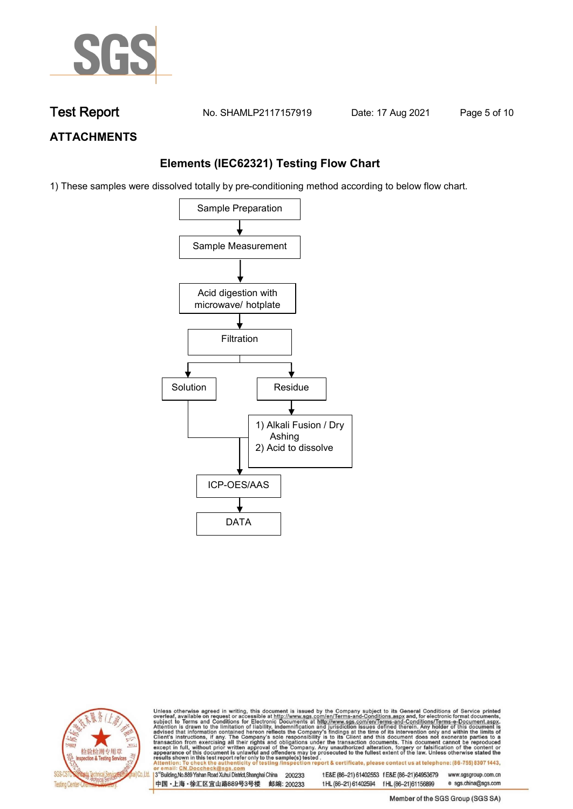

**Test Report. No. SHAMLP2117157919 Date: 17 Aug 2021. Page 5 of 10.**

## **ATTACHMENTS**

## **Elements (IEC62321) Testing Flow Chart**

1) These samples were dissolved totally by pre-conditioning method according to below flow chart.





Unless otherwise agreed in writing, this document is issued by the Company subject to its General Conditions of Service printed overleaf, available on request or accessible at http://www.sgs.com/en/Terms-and-Conditions.asp

13<sup>rd</sup> Building, No.889 Yishan Road Xuhui District, Shanghai China 200233 中国·上海·徐汇区宜山路889号3号楼 邮编: 200233 tE&E (86-21) 61402553 fE&E (86-21)64953679 www.sgsgroup.com.cn

t HL (86-21) 61402594 f HL (86-21) 61156899 Member of the SGS Group (SGS SA)

e sgs.china@sgs.com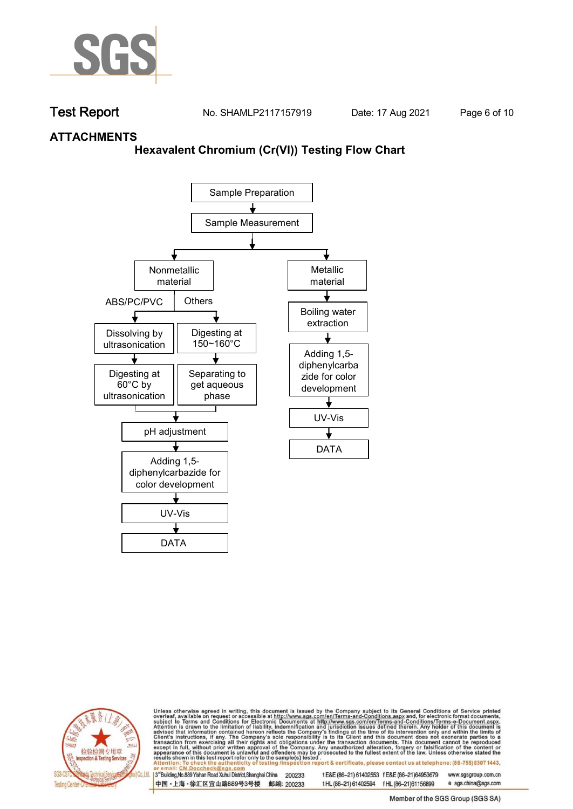

**Test Report. No. SHAMLP2117157919 Date: 17 Aug 2021. Page 6 of 10.**

## **ATTACHMENTS**

### **Hexavalent Chromium (Cr(VI)) Testing Flow Chart**





Unless otherwise agreed in writing, this document is issued by the Company subject to its General Conditions of Service printed overleaf, available on request or accessible at http://www.sgs.com/en/Terms-and-Conditions.asp

3<sup>rd</sup> Building, No.889 Yishan Road Xuhui District, Shanghai China 200233 中国·上海·徐汇区宜山路889号3号楼 邮编: 200233 tE&E (86-21) 61402553 fE&E (86-21)64953679 www.sgsgroup.com.cn

t HL (86-21) 61402594 f HL (86-21)61156899 e sgs.china@sgs.com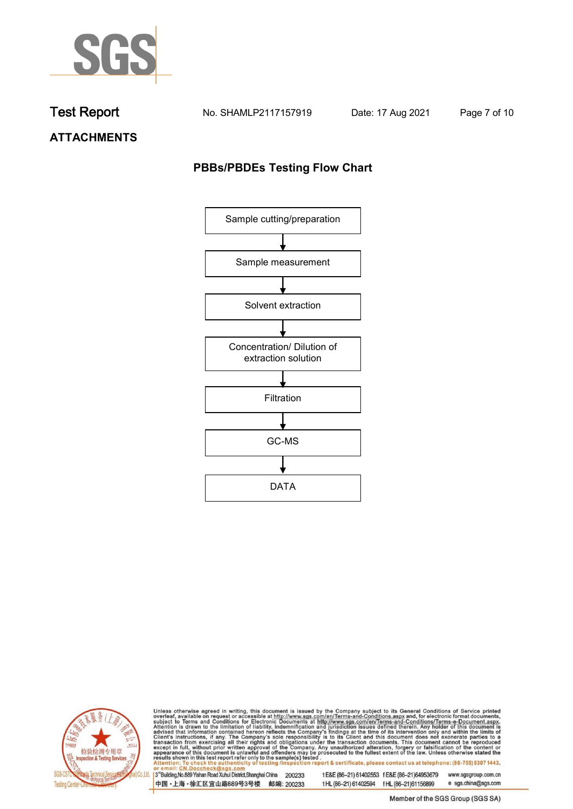

**Test Report. No. SHAMLP2117157919 Date: 17 Aug 2021. Page 7 of 10.**

**ATTACHMENTS**

## **PBBs/PBDEs Testing Flow Chart**





Unless otherwise agreed in writing, this document is issued by the Company subject to its General Conditions of Service printed overleaf, available on request or accessible at http://www.sgs.com/en/Terms-and-Conditions.asp

3<sup>'</sup>Building, No.889 Yishan Road Xuhui District, Shanghai China 200233 中国·上海·徐汇区宜山路889号3号楼 邮编: 200233

tE&E (86-21) 61402553 fE&E (86-21)64953679 www.sgsgroup.com.cn

e sgs.china@sgs.com t HL (86-21) 61402594 f HL (86-21) 61156899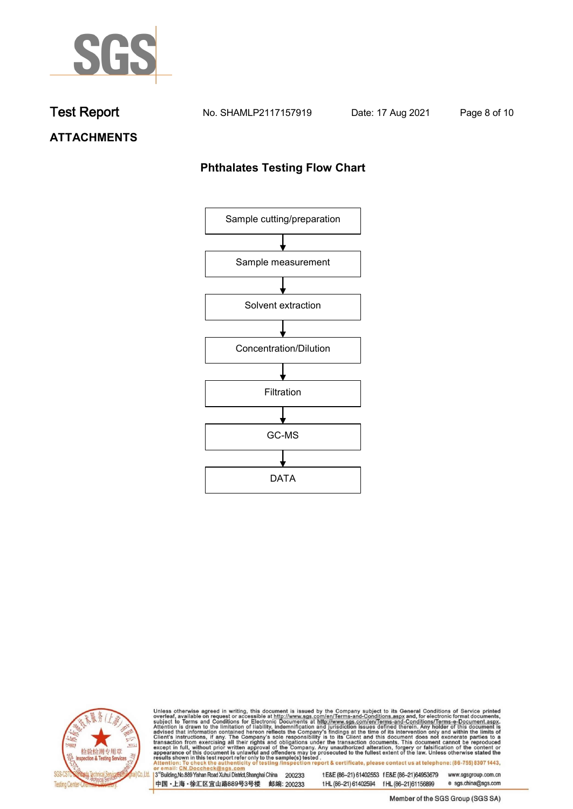

**Test Report. No. SHAMLP2117157919 Date: 17 Aug 2021. Page 8 of 10.**

# **ATTACHMENTS**

## **Phthalates Testing Flow Chart**





Unless otherwise agreed in writing, this document is issued by the Company subject to its General Conditions of Service printed overleaf, available on request or accessible at http://www.sgs.com/en/Terms-and-Conditions.asp

3<sup>'</sup>Building, No.889 Yishan Road Xuhui District, Shanghai China 200233 中国·上海·徐汇区宜山路889号3号楼 邮编: 200233

tE&E (86-21) 61402553 fE&E (86-21)64953679 www.sgsgroup.com.cn

e sgs.china@sgs.com t HL (86-21) 61402594 f HL (86-21) 61156899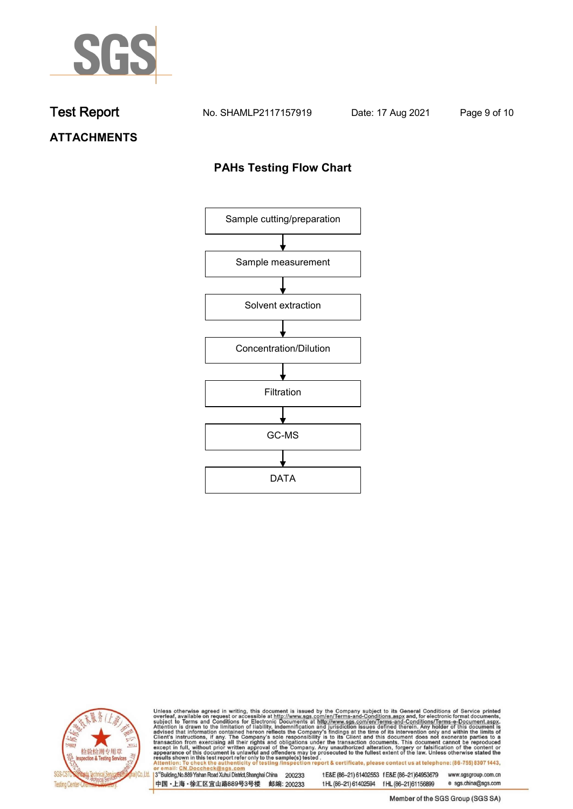

**Test Report. No. SHAMLP2117157919 Date: 17 Aug 2021. Page 9 of 10.**

# **ATTACHMENTS**

## **PAHs Testing Flow Chart**





Unless otherwise agreed in writing, this document is issued by the Company subject to its General Conditions of Service printed overleaf, available on request or accessible at http://www.sgs.com/en/Terms-and-Conditions.asp

3<sup>'</sup>Building, No.889 Yishan Road Xuhui District, Shanghai China 200233 中国·上海·徐汇区宜山路889号3号楼 邮编: 200233

tE&E (86-21) 61402553 fE&E (86-21)64953679 www.sgsgroup.com.cn

e sgs.china@sgs.com t HL (86-21) 61402594 f HL (86-21) 61156899